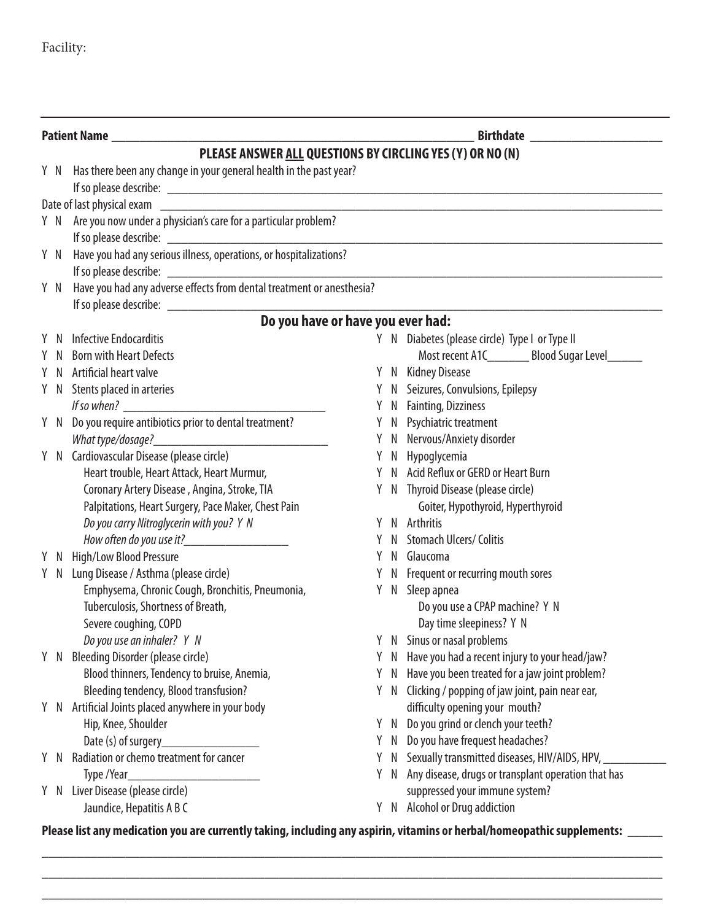## Facility:

| <b>Patient Name</b> |                                                                                                                                                                                                                                      |    | <b>Birthdate Exercise 2018</b> |                                                                                   |  |
|---------------------|--------------------------------------------------------------------------------------------------------------------------------------------------------------------------------------------------------------------------------------|----|--------------------------------|-----------------------------------------------------------------------------------|--|
|                     | PLEASE ANSWER ALL QUESTIONS BY CIRCLING YES (Y) OR NO (N)                                                                                                                                                                            |    |                                |                                                                                   |  |
|                     | Y N Has there been any change in your general health in the past year?                                                                                                                                                               |    |                                |                                                                                   |  |
|                     | If so please describe: <b>All any of the set of the set of the set of the set of the set of the set of the set of the set of the set of the set of the set of the set of the set of the set of the set of the set of the set of </b> |    |                                |                                                                                   |  |
|                     |                                                                                                                                                                                                                                      |    |                                |                                                                                   |  |
|                     | Y N Are you now under a physician's care for a particular problem?                                                                                                                                                                   |    |                                |                                                                                   |  |
|                     |                                                                                                                                                                                                                                      |    |                                |                                                                                   |  |
| Y N                 | Have you had any serious illness, operations, or hospitalizations?                                                                                                                                                                   |    |                                |                                                                                   |  |
|                     |                                                                                                                                                                                                                                      |    |                                |                                                                                   |  |
| Y N                 | Have you had any adverse effects from dental treatment or anesthesia?                                                                                                                                                                |    |                                |                                                                                   |  |
|                     |                                                                                                                                                                                                                                      |    |                                |                                                                                   |  |
|                     | Do you have or have you ever had:                                                                                                                                                                                                    |    |                                |                                                                                   |  |
| - N                 | Infective Endocarditis                                                                                                                                                                                                               |    |                                | Y N Diabetes (please circle) Type I or Type II                                    |  |
| -N                  | <b>Born with Heart Defects</b>                                                                                                                                                                                                       |    |                                | Most recent A1C___________ Blood Sugar Level________                              |  |
| <sup>N</sup>        | Artificial heart valve                                                                                                                                                                                                               |    |                                | Y N Kidney Disease                                                                |  |
|                     | Y N Stents placed in arteries                                                                                                                                                                                                        |    |                                | Y N Seizures, Convulsions, Epilepsy                                               |  |
|                     |                                                                                                                                                                                                                                      |    |                                | Y N Fainting, Dizziness                                                           |  |
|                     | Y N Do you require antibiotics prior to dental treatment?                                                                                                                                                                            |    |                                | Y N Psychiatric treatment                                                         |  |
|                     |                                                                                                                                                                                                                                      |    |                                | Y N Nervous/Anxiety disorder                                                      |  |
|                     | Y N Cardiovascular Disease (please circle)                                                                                                                                                                                           |    |                                | Y N Hypoglycemia                                                                  |  |
|                     | Heart trouble, Heart Attack, Heart Murmur,                                                                                                                                                                                           |    |                                | Y N Acid Reflux or GERD or Heart Burn                                             |  |
|                     | Coronary Artery Disease, Angina, Stroke, TIA                                                                                                                                                                                         |    |                                | Y N Thyroid Disease (please circle)                                               |  |
|                     | Palpitations, Heart Surgery, Pace Maker, Chest Pain                                                                                                                                                                                  |    |                                | Goiter, Hypothyroid, Hyperthyroid                                                 |  |
|                     | Do you carry Nitroglycerin with you? Y N                                                                                                                                                                                             | Y  |                                | N Arthritis                                                                       |  |
|                     | How often do you use it?_____________________                                                                                                                                                                                        |    |                                | <b>Stomach Ulcers/ Colitis</b>                                                    |  |
| Y N                 | High/Low Blood Pressure                                                                                                                                                                                                              |    |                                | N Glaucoma                                                                        |  |
| Y N                 | Lung Disease / Asthma (please circle)                                                                                                                                                                                                |    |                                | Y N Frequent or recurring mouth sores                                             |  |
|                     | Emphysema, Chronic Cough, Bronchitis, Pneumonia,                                                                                                                                                                                     |    |                                | Y N Sleep apnea                                                                   |  |
|                     | Tuberculosis, Shortness of Breath,                                                                                                                                                                                                   |    |                                | Do you use a CPAP machine? Y N                                                    |  |
|                     | Severe coughing, COPD                                                                                                                                                                                                                |    |                                | Day time sleepiness? Y N                                                          |  |
|                     | Do you use an inhaler? Y N                                                                                                                                                                                                           |    |                                | Y N Sinus or nasal problems                                                       |  |
| Y N                 | Bleeding Disorder (please circle)                                                                                                                                                                                                    | Y  |                                | N Have you had a recent injury to your head/jaw?                                  |  |
|                     | Blood thinners, Tendency to bruise, Anemia,<br>Bleeding tendency, Blood transfusion?                                                                                                                                                 | Y. | N<br>Y N                       | Have you been treated for a jaw joint problem?                                    |  |
|                     | Y N Artificial Joints placed anywhere in your body                                                                                                                                                                                   |    |                                | Clicking / popping of jaw joint, pain near ear,<br>difficulty opening your mouth? |  |
|                     | Hip, Knee, Shoulder                                                                                                                                                                                                                  |    |                                | Do you grind or clench your teeth?                                                |  |
|                     | Date (s) of surgery                                                                                                                                                                                                                  |    | Y N                            | Y N Do you have frequest headaches?                                               |  |
| Y N                 | Radiation or chemo treatment for cancer                                                                                                                                                                                              |    | Y N                            | Sexually transmitted diseases, HIV/AIDS, HPV,                                     |  |
|                     | Type /Year_                                                                                                                                                                                                                          |    | Y N                            | Any disease, drugs or transplant operation that has                               |  |
|                     | Y N Liver Disease (please circle)                                                                                                                                                                                                    |    |                                | suppressed your immune system?                                                    |  |
|                     | Jaundice, Hepatitis A B C                                                                                                                                                                                                            |    |                                | Y N Alcohol or Drug addiction                                                     |  |

**Please list any medication you are currently taking, including any aspirin, vitamins or herbal/homeopathic supplements:** \_\_\_\_\_

\_\_\_\_\_\_\_\_\_\_\_\_\_\_\_\_\_\_\_\_\_\_\_\_\_\_\_\_\_\_\_\_\_\_\_\_\_\_\_\_\_\_\_\_\_\_\_\_\_\_\_\_\_\_\_\_\_\_\_\_\_\_\_\_\_\_\_\_\_\_\_\_\_\_\_\_\_\_\_\_\_\_\_\_\_\_\_\_\_ \_\_\_\_\_\_\_\_\_\_\_\_\_\_\_\_\_\_\_\_\_\_\_\_\_\_\_\_\_\_\_\_\_\_\_\_\_\_\_\_\_\_\_\_\_\_\_\_\_\_\_\_\_\_\_\_\_\_\_\_\_\_\_\_\_\_\_\_\_\_\_\_\_\_\_\_\_\_\_\_\_\_\_\_\_\_\_\_\_